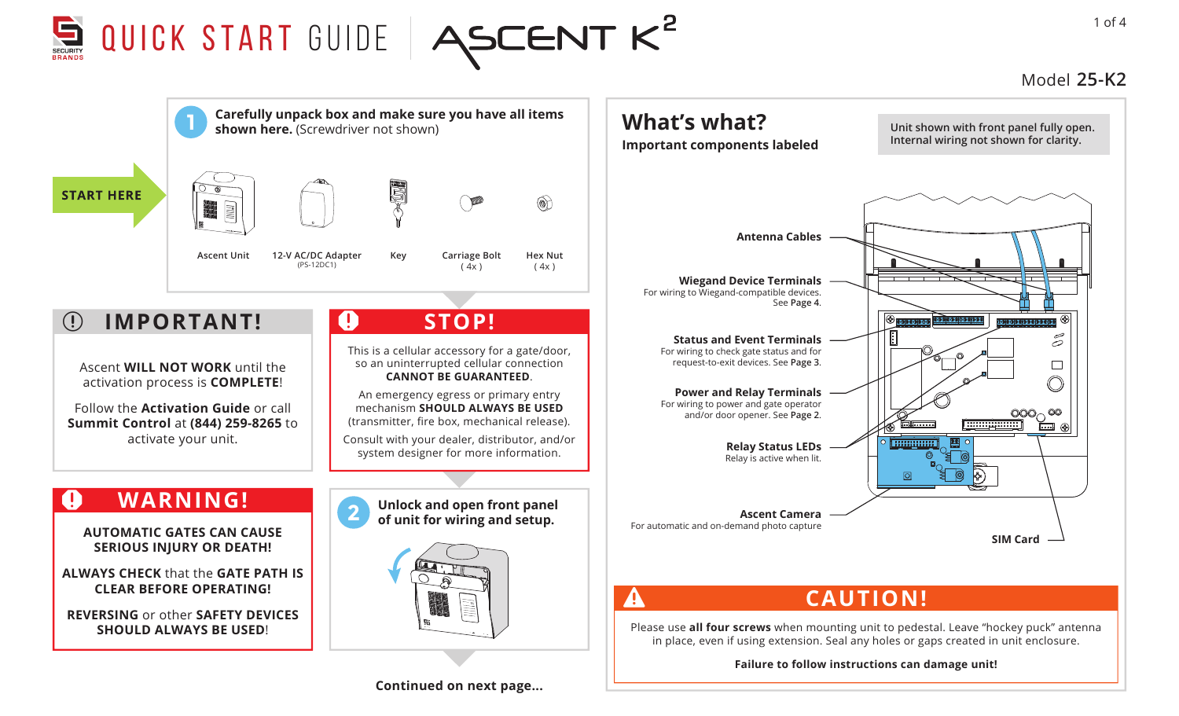

## Model **25-K2**

1 of 4



**Continued on next page...**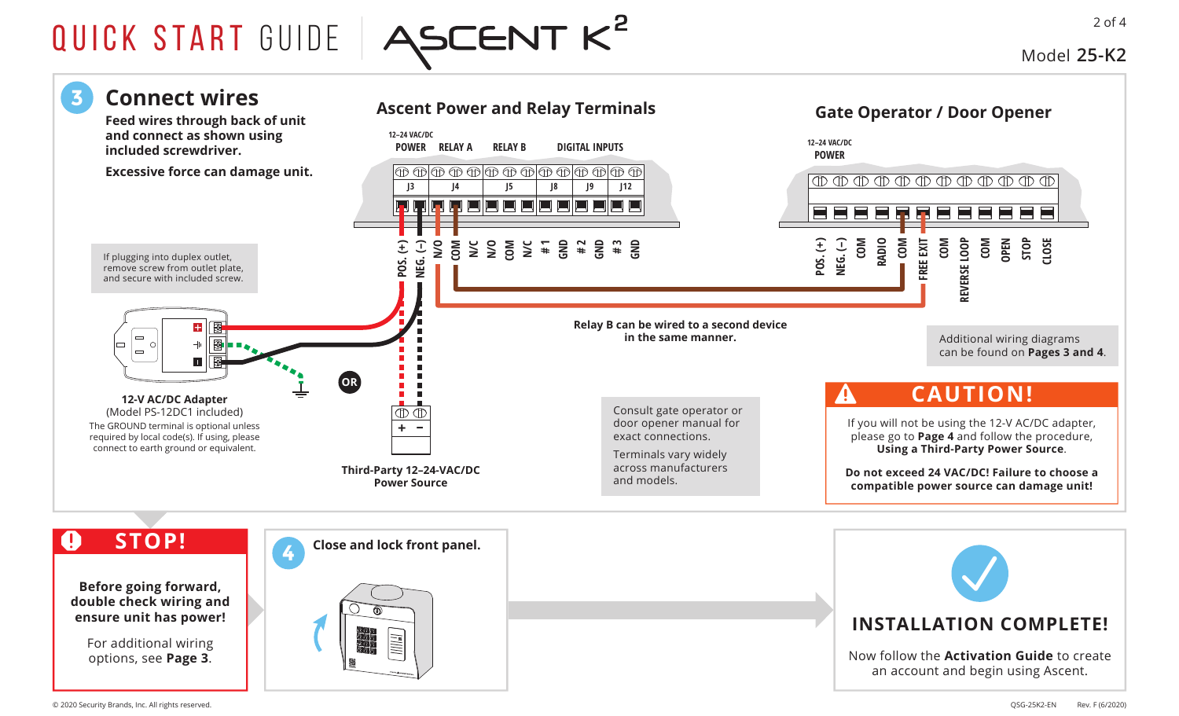

Model **25-K2**

2 of 4

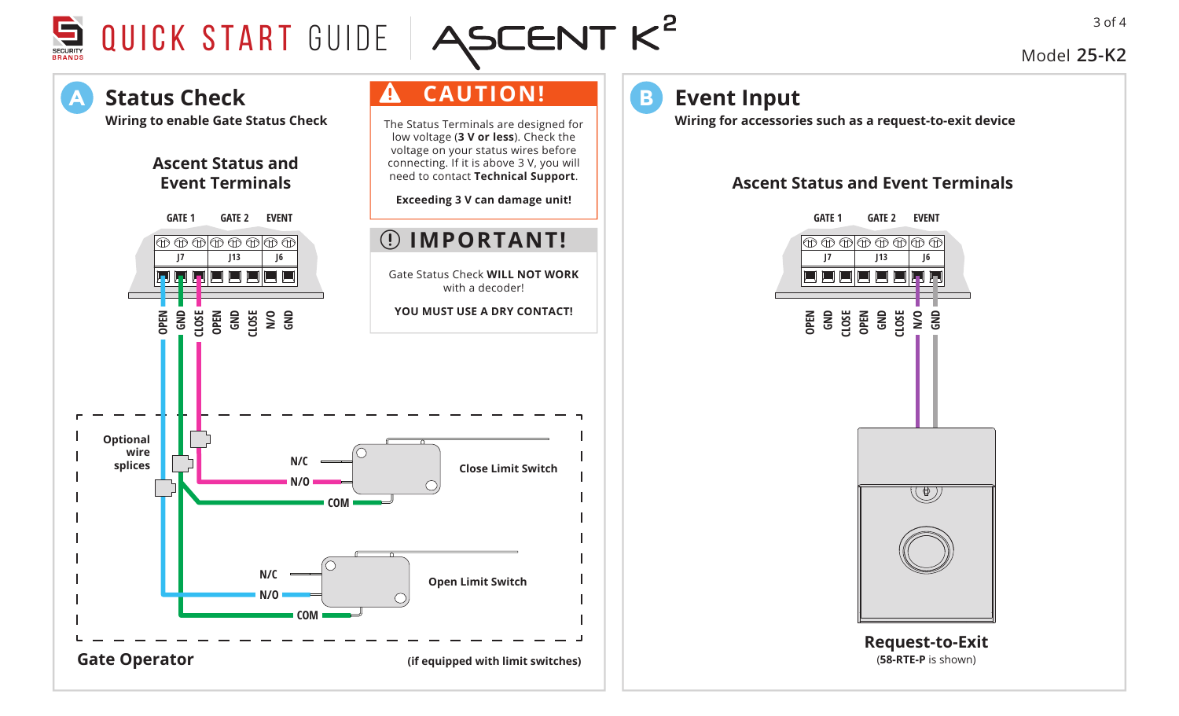